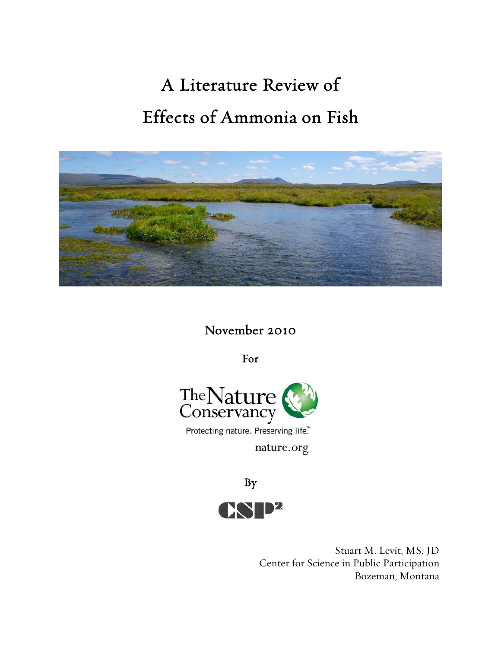# A Literature Review of Effects of Ammonia on Fish



November 2010

For



Protecting nature. Preserving life."

nature.org



Stuart M. Levit, MS, JD Center for Science in Public Participation Bozeman, Montana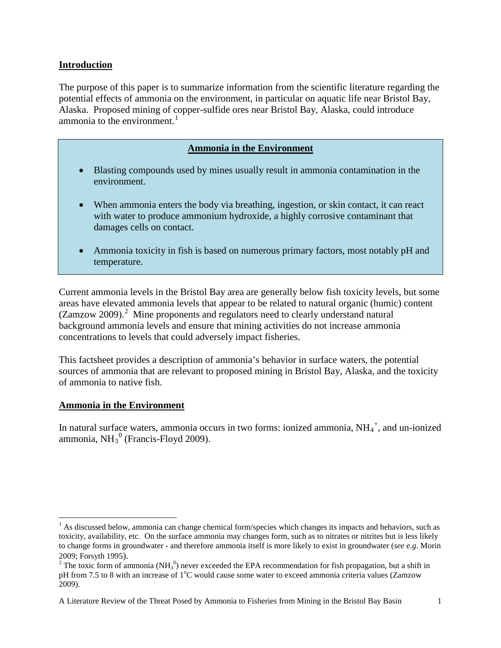## **Introduction**

The purpose of this paper is to summarize information from the scientific literature regarding the potential effects of ammonia on the environment, in particular on aquatic life near Bristol Bay, Alaska. Proposed mining of copper-sulfide ores near Bristol Bay, Alaska, could introduce ammonia to the environment.<sup>[1](#page-1-0)</sup>

| <b>Ammonia in the Environment</b> |  |  |
|-----------------------------------|--|--|
|                                   |  |  |

- Blasting compounds used by mines usually result in ammonia contamination in the environment.
- When ammonia enters the body via breathing, ingestion, or skin contact, it can react with water to produce ammonium hydroxide, a highly corrosive contaminant that damages cells on contact.
- Ammonia toxicity in fish is based on numerous primary factors, most notably pH and temperature.

Current ammonia levels in the Bristol Bay area are generally below fish toxicity levels, but some areas have elevated ammonia levels that appear to be related to natural organic (humic) content (Zamzow [2](#page-1-1)009).<sup>2</sup> Mine proponents and regulators need to clearly understand natural background ammonia levels and ensure that mining activities do not increase ammonia concentrations to levels that could adversely impact fisheries.

This factsheet provides a description of ammonia's behavior in surface waters, the potential sources of ammonia that are relevant to proposed mining in Bristol Bay, Alaska, and the toxicity of ammonia to native fish.

#### **Ammonia in the Environment**

ı

In natural surface waters, ammonia occurs in two forms: ionized ammonia,  $NH_4^+$ , and un-ionized ammonia,  $NH<sub>3</sub><sup>0</sup>$  (Francis-Floyd 2009).

<span id="page-1-0"></span> $<sup>1</sup>$  As discussed below, ammonia can change chemical form/species which changes its impacts and behaviors, such as</sup> toxicity, availability, etc. On the surface ammonia may changes form, such as to nitrates or nitrites but is less likely to change forms in groundwater - and therefore ammonia itself is more likely to exist in groundwater (*see e.g*. Morin

<span id="page-1-1"></span><sup>2009;</sup> Forsyth 1995).<br><sup>2</sup> The toxic form of ammonia (NH<sub>3</sub><sup>0</sup>) never exceeded the EPA recommendation for fish propagation, but a shift in pH from 7.5 to 8 with an increase of  $1^{\circ}$ C would cause some water to exceed ammonia criteria values (Zamzow 2009).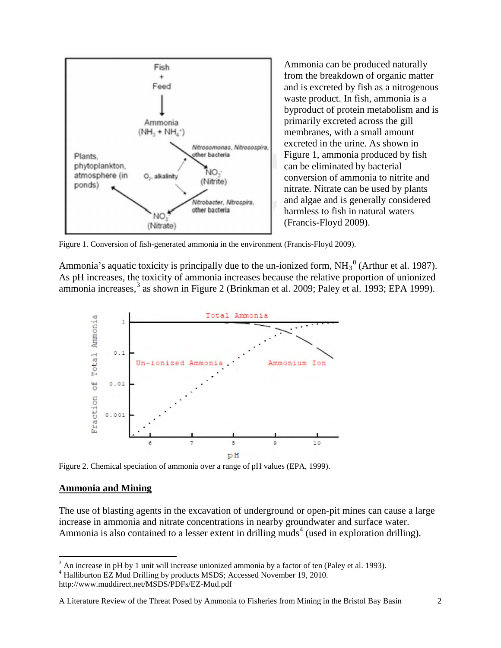

Ammonia can be produced naturally from the breakdown of organic matter and is excreted by fish as a nitrogenous waste product. In fish, ammonia is a byproduct of protein metabolism and is primarily excreted across the gill membranes, with a small amount excreted in the urine. As shown in Figure 1, ammonia produced by fish can be eliminated by bacterial conversion of ammonia to nitrite and nitrate. Nitrate can be used by plants and algae and is generally considered harmless to fish in natural waters (Francis-Floyd 2009).

Figure 1. Conversion of fish-generated ammonia in the environment (Francis-Floyd 2009).

Ammonia's aquatic toxicity is principally due to the un-ionized form,  $NH_3^0$  (Arthur et al. 1987). As pH increases, the toxicity of ammonia increases because the relative proportion of unionized ammonia increases,<sup>[3](#page-2-0)</sup> as shown in Figure 2 (Brinkman et al. 2009; Paley et al. 1993; EPA 1999).



Figure 2. Chemical speciation of ammonia over a range of pH values (EPA, 1999).

#### **Ammonia and Mining**

 $\overline{\phantom{0}}$ 

The use of blasting agents in the excavation of underground or open-pit mines can cause a large increase in ammonia and nitrate concentrations in nearby groundwater and surface water. Ammonia is also contained to a lesser extent in drilling muds<sup>[4](#page-2-1)</sup> (used in exploration drilling).

http://www.muddirect.net/MSDS/PDFs/EZ-Mud.pdf

```
A Literature Review of the Threat Posed by Ammonia to Fisheries from Mining in the Bristol Bay Basin 2
```
<span id="page-2-0"></span> $3$  An increase in pH by 1 unit will increase unionized ammonia by a factor of ten (Paley et al. 1993).

<span id="page-2-1"></span><sup>&</sup>lt;sup>4</sup> Halliburton EZ Mud Drilling by products MSDS; Accessed November 19, 2010.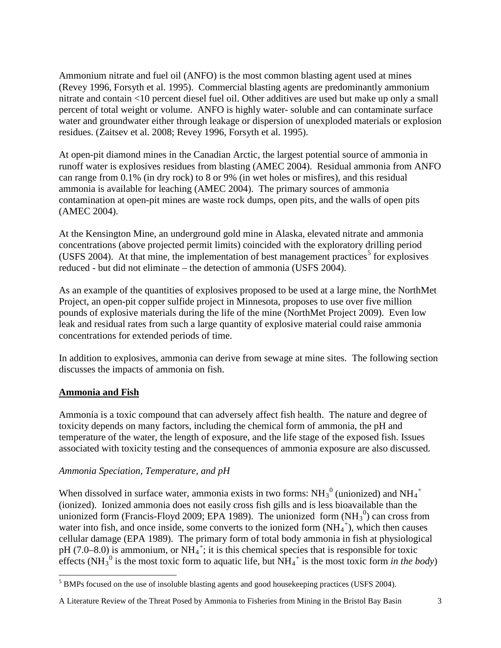Ammonium nitrate and fuel oil (ANFO) is the most common blasting agent used at mines (Revey 1996, Forsyth et al. 1995). Commercial blasting agents are predominantly ammonium nitrate and contain <10 percent diesel fuel oil. Other additives are used but make up only a small percent of total weight or volume. ANFO is highly water- soluble and can contaminate surface water and groundwater either through leakage or dispersion of unexploded materials or explosion residues. (Zaitsev et al. 2008; Revey 1996, Forsyth et al. 1995).

At open-pit diamond mines in the Canadian Arctic, the largest potential source of ammonia in runoff water is explosives residues from blasting (AMEC 2004). Residual ammonia from ANFO can range from 0.1% (in dry rock) to 8 or 9% (in wet holes or misfires), and this residual ammonia is available for leaching (AMEC 2004). The primary sources of ammonia contamination at open-pit mines are waste rock dumps, open pits, and the walls of open pits (AMEC 2004).

At the Kensington Mine, an underground gold mine in Alaska, elevated nitrate and ammonia concentrations (above projected permit limits) coincided with the exploratory drilling period (USFS 2004). At that mine, the implementation of best management practices<sup>[5](#page-3-0)</sup> for explosives reduced - but did not eliminate – the detection of ammonia (USFS 2004).

As an example of the quantities of explosives proposed to be used at a large mine, the NorthMet Project, an open-pit copper sulfide project in Minnesota, proposes to use over five million pounds of explosive materials during the life of the mine (NorthMet Project 2009). Even low leak and residual rates from such a large quantity of explosive material could raise ammonia concentrations for extended periods of time.

In addition to explosives, ammonia can derive from sewage at mine sites. The following section discusses the impacts of ammonia on fish.

# **Ammonia and Fish**

l

Ammonia is a toxic compound that can adversely affect fish health. The nature and degree of toxicity depends on many factors, including the chemical form of ammonia, the pH and temperature of the water, the length of exposure, and the life stage of the exposed fish. Issues associated with toxicity testing and the consequences of ammonia exposure are also discussed.

# *Ammonia Speciation, Temperature, and pH*

When dissolved in surface water, ammonia exists in two forms:  $NH_3^0$  (unionized) and  $NH_4^+$ (ionized). Ionized ammonia does not easily cross fish gills and is less bioavailable than the unionized form (Francis-Floyd 2009; EPA 1989). The unionized form  $(NH_3^0)$  can cross from water into fish, and once inside, some converts to the ionized form  $(NH_4^+)$ , which then causes cellular damage (EPA 1989). The primary form of total body ammonia in fish at physiological pH (7.0–8.0) is ammonium, or  $NH_4^+$ ; it is this chemical species that is responsible for toxic effects (NH<sub>3</sub><sup>0</sup> is the most toxic form to aquatic life, but  $NH_4^+$  is the most toxic form *in the body*)

<span id="page-3-0"></span><sup>&</sup>lt;sup>5</sup> BMPs focused on the use of insoluble blasting agents and good housekeeping practices (USFS 2004).

A Literature Review of the Threat Posed by Ammonia to Fisheries from Mining in the Bristol Bay Basin 3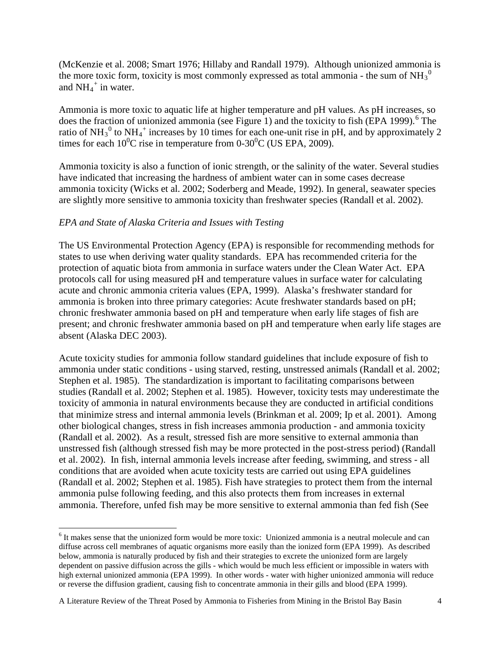(McKenzie et al. 2008; Smart 1976; Hillaby and Randall 1979). Although unionized ammonia is the more toxic form, toxicity is most commonly expressed as total ammonia - the sum of  $NH_3^0$ and  $NH_4^+$  in water.

Ammonia is more toxic to aquatic life at higher temperature and pH values. As pH increases, so does the fraction of unionized ammonia (see Figure 1) and the toxicity to fish (EPA 1999).<sup>[6](#page-4-0)</sup> The ratio of NH<sub>3</sub><sup>0</sup> to NH<sub>4</sub><sup>+</sup> increases by 10 times for each one-unit rise in pH, and by approximately 2 times for each  $10^{0}$ C rise in temperature from 0-30<sup>0</sup>C (US EPA, 2009).

Ammonia toxicity is also a function of ionic strength, or the salinity of the water. Several studies have indicated that increasing the hardness of ambient water can in some cases decrease ammonia toxicity (Wicks et al. 2002; Soderberg and Meade, 1992). In general, seawater species are slightly more sensitive to ammonia toxicity than freshwater species (Randall et al. 2002).

## *EPA and State of Alaska Criteria and Issues with Testing*

 $\overline{\phantom{0}}$ 

The US Environmental Protection Agency (EPA) is responsible for recommending methods for states to use when deriving water quality standards. EPA has recommended criteria for the protection of aquatic biota from ammonia in surface waters under the Clean Water Act. EPA protocols call for using measured pH and temperature values in surface water for calculating acute and chronic ammonia criteria values (EPA, 1999). Alaska's freshwater standard for ammonia is broken into three primary categories: Acute freshwater standards based on pH; chronic freshwater ammonia based on pH and temperature when early life stages of fish are present; and chronic freshwater ammonia based on pH and temperature when early life stages are absent (Alaska DEC 2003).

Acute toxicity studies for ammonia follow standard guidelines that include exposure of fish to ammonia under static conditions - using starved, resting, unstressed animals (Randall et al. 2002; Stephen et al. 1985). The standardization is important to facilitating comparisons between studies (Randall et al. 2002; Stephen et al. 1985). However, toxicity tests may underestimate the toxicity of ammonia in natural environments because they are conducted in artificial conditions that minimize stress and internal ammonia levels (Brinkman et al. 2009; Ip et al. 2001). Among other biological changes, stress in fish increases ammonia production - and ammonia toxicity (Randall et al. 2002). As a result, stressed fish are more sensitive to external ammonia than unstressed fish (although stressed fish may be more protected in the post-stress period) (Randall et al. 2002). In fish, internal ammonia levels increase after feeding, swimming, and stress - all conditions that are avoided when acute toxicity tests are carried out using EPA guidelines (Randall et al. 2002; Stephen et al. 1985). Fish have strategies to protect them from the internal ammonia pulse following feeding, and this also protects them from increases in external ammonia. Therefore, unfed fish may be more sensitive to external ammonia than fed fish (See

A Literature Review of the Threat Posed by Ammonia to Fisheries from Mining in the Bristol Bay Basin 4

<span id="page-4-0"></span><sup>&</sup>lt;sup>6</sup> It makes sense that the unionized form would be more toxic: Unionized ammonia is a neutral molecule and can diffuse across cell membranes of aquatic organisms more easily than the ionized form (EPA 1999). As described below, ammonia is naturally produced by fish and their strategies to excrete the unionized form are largely dependent on passive diffusion across the gills - which would be much less efficient or impossible in waters with high external unionized ammonia (EPA 1999). In other words - water with higher unionized ammonia will reduce or reverse the diffusion gradient, causing fish to concentrate ammonia in their gills and blood (EPA 1999).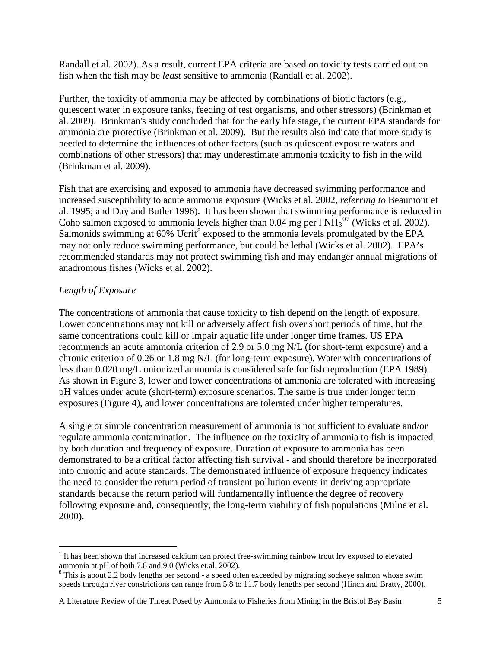Randall et al. 2002). As a result, current EPA criteria are based on toxicity tests carried out on fish when the fish may be *least* sensitive to ammonia (Randall et al. 2002).

Further, the toxicity of ammonia may be affected by combinations of biotic factors (e.g., quiescent water in exposure tanks, feeding of test organisms, and other stressors) (Brinkman et al. 2009). Brinkman's study concluded that for the early life stage, the current EPA standards for ammonia are protective (Brinkman et al. 2009). But the results also indicate that more study is needed to determine the influences of other factors (such as quiescent exposure waters and combinations of other stressors) that may underestimate ammonia toxicity to fish in the wild (Brinkman et al. 2009).

Fish that are exercising and exposed to ammonia have decreased swimming performance and increased susceptibility to acute ammonia exposure (Wicks et al. 2002, *referring to* Beaumont et al. 1995; and Day and Butler 1996). It has been shown that swimming performance is reduced in Coho salmon exposed to ammonia levels higher than  $0.04$  mg per l NH $_3^{07}$  $_3^{07}$  $_3^{07}$  (Wicks et al. 2002). Salmonids swimming at 60% Ucrit<sup>[8](#page-5-1)</sup> exposed to the ammonia levels promulgated by the EPA may not only reduce swimming performance, but could be lethal (Wicks et al. 2002). EPA's recommended standards may not protect swimming fish and may endanger annual migrations of anadromous fishes (Wicks et al. 2002).

# *Length of Exposure*

ı

The concentrations of ammonia that cause toxicity to fish depend on the length of exposure. Lower concentrations may not kill or adversely affect fish over short periods of time, but the same concentrations could kill or impair aquatic life under longer time frames. US EPA recommends an acute ammonia criterion of 2.9 or 5.0 mg N/L (for short-term exposure) and a chronic criterion of 0.26 or 1.8 mg N/L (for long-term exposure). Water with concentrations of less than 0.020 mg/L unionized ammonia is considered safe for fish reproduction (EPA 1989). As shown in Figure 3, lower and lower concentrations of ammonia are tolerated with increasing pH values under acute (short-term) exposure scenarios. The same is true under longer term exposures (Figure 4), and lower concentrations are tolerated under higher temperatures.

A single or simple concentration measurement of ammonia is not sufficient to evaluate and/or regulate ammonia contamination. The influence on the toxicity of ammonia to fish is impacted by both duration and frequency of exposure. Duration of exposure to ammonia has been demonstrated to be a critical factor affecting fish survival - and should therefore be incorporated into chronic and acute standards. The demonstrated influence of exposure frequency indicates the need to consider the return period of transient pollution events in deriving appropriate standards because the return period will fundamentally influence the degree of recovery following exposure and, consequently, the long-term viability of fish populations (Milne et al. 2000).

A Literature Review of the Threat Posed by Ammonia to Fisheries from Mining in the Bristol Bay Basin 5

<span id="page-5-0"></span> $<sup>7</sup>$  It has been shown that increased calcium can protect free-swimming rainbow trout fry exposed to elevated</sup> ammonia at pH of both 7.8 and 9.0 (Wicks et.al. 2002).

<span id="page-5-1"></span><sup>&</sup>lt;sup>8</sup> This is about 2.2 body lengths per second - a speed often exceeded by migrating sockeye salmon whose swim speeds through river constrictions can range from 5.8 to 11.7 body lengths per second (Hinch and Bratty, 2000).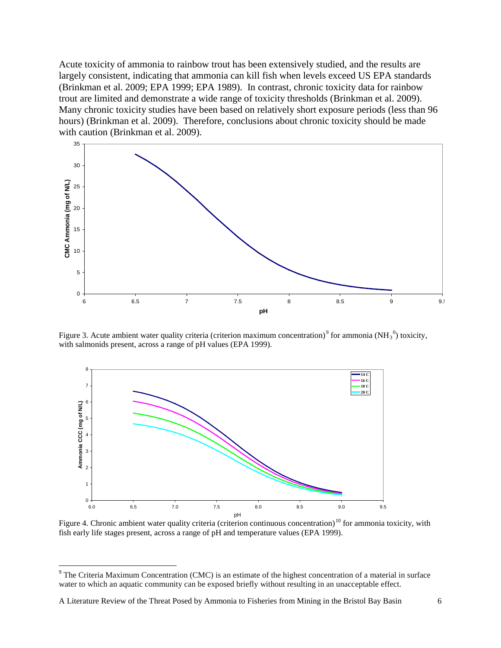Acute toxicity of ammonia to rainbow trout has been extensively studied, and the results are largely consistent, indicating that ammonia can kill fish when levels exceed US EPA standards (Brinkman et al. 2009; EPA 1999; EPA 1989). In contrast, chronic toxicity data for rainbow trout are limited and demonstrate a wide range of toxicity thresholds (Brinkman et al. 2009). Many chronic toxicity studies have been based on relatively short exposure periods (less than 96 hours) (Brinkman et al. 2009). Therefore, conclusions about chronic toxicity should be made with caution (Brinkman et al. 2009).



Figure 3. Acute ambient water quality criteria (criterion maximum concentration)<sup>[9](#page-6-0)</sup> for ammonia (NH<sub>3</sub><sup>0</sup>) toxicity, with salmonids present, across a range of pH values (EPA 1999).



<span id="page-6-1"></span>Figure 4. Chronic ambient water quality criteria (criterion continuous concentration)<sup>[10](#page-6-1)</sup> for ammonia toxicity, with fish early life stages present, across a range of pH and temperature values (EPA 1999).

ı

<span id="page-6-0"></span> $9$  The Criteria Maximum Concentration (CMC) is an estimate of the highest concentration of a material in surface water to which an aquatic community can be exposed briefly without resulting in an unacceptable effect.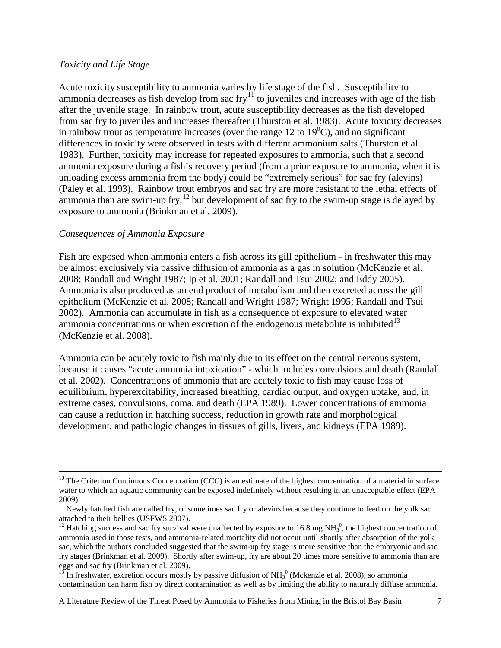#### *Toxicity and Life Stage*

Acute toxicity susceptibility to ammonia varies by life stage of the fish. Susceptibility to ammonia decreases as fish develop from sac  $f(y)$ <sup>[11](#page-7-0)</sup> to juveniles and increases with age of the fish after the juvenile stage. In rainbow trout, acute susceptibility decreases as the fish developed from sac fry to juveniles and increases thereafter (Thurston et al. 1983). Acute toxicity decreases in rainbow trout as temperature increases (over the range 12 to  $19^{\circ}$ C), and no significant differences in toxicity were observed in tests with different ammonium salts (Thurston et al. 1983). Further, toxicity may increase for repeated exposures to ammonia, such that a second ammonia exposure during a fish's recovery period (from a prior exposure to ammonia, when it is unloading excess ammonia from the body) could be "extremely serious" for sac fry (alevins) (Paley et al. 1993). Rainbow trout embryos and sac fry are more resistant to the lethal effects of ammonia than are swim-up fry,  $^{12}$  but development of sac fry to the swim-up stage is delayed by exposure to ammonia (Brinkman et al. 2009).

#### *Consequences of Ammonia Exposure*

 $\overline{\phantom{0}}$ 

Fish are exposed when ammonia enters a fish across its gill epithelium - in freshwater this may be almost exclusively via passive diffusion of ammonia as a gas in solution (McKenzie et al. 2008; Randall and Wright 1987; Ip et al. 2001; Randall and Tsui 2002; and Eddy 2005). Ammonia is also produced as an end product of metabolism and then excreted across the gill epithelium (McKenzie et al. 2008; Randall and Wright 1987; Wright 1995; Randall and Tsui 2002). Ammonia can accumulate in fish as a consequence of exposure to elevated water ammonia concentrations or when excretion of the endogenous metabolite is inhibited $13$ (McKenzie et al. 2008).

Ammonia can be acutely toxic to fish mainly due to its effect on the central nervous system, because it causes "acute ammonia intoxication" - which includes convulsions and death (Randall et al. 2002). Concentrations of ammonia that are acutely toxic to fish may cause loss of equilibrium, hyperexcitability, increased breathing, cardiac output, and oxygen uptake, and, in extreme cases, convulsions, coma, and death (EPA 1989). Lower concentrations of ammonia can cause a reduction in hatching success, reduction in growth rate and morphological development, and pathologic changes in tissues of gills, livers, and kidneys (EPA 1989).

A Literature Review of the Threat Posed by Ammonia to Fisheries from Mining in the Bristol Bay Basin 7

 $10$  The Criterion Continuous Concentration (CCC) is an estimate of the highest concentration of a material in surface water to which an aquatic community can be exposed indefinitely without resulting in an unacceptable effect (EPA 2009).

<span id="page-7-0"></span><sup>&</sup>lt;sup>11</sup> Newly hatched fish are called fry, or sometimes sac fry or alevins because they continue to feed on the yolk sac attached to their bellies (USFWS 2007).

<span id="page-7-1"></span>attached to their bellies (USFWS 2007).<br><sup>12</sup> Hatching success and sac fry survival were unaffected by exposure to 16.8 mg NH<sub>3</sub><sup>0</sup>, the highest concentration of ammonia used in those tests, and ammonia-related mortality did not occur until shortly after absorption of the yolk sac, which the authors concluded suggested that the swim-up fry stage is more sensitive than the embryonic and sac fry stages (Brinkman et al. 2009). Shortly after swim-up, fry are about 20 times more sensitive to ammonia than are

<span id="page-7-2"></span>eggs and sac fry (Brinkman et al. 2009).<br><sup>13</sup> In freshwater, excretion occurs mostly by passive diffusion of NH<sub>3</sub><sup>0</sup> (Mckenzie et al. 2008), so ammonia contamination can harm fish by direct contamination as well as by limiting the ability to naturally diffuse ammonia.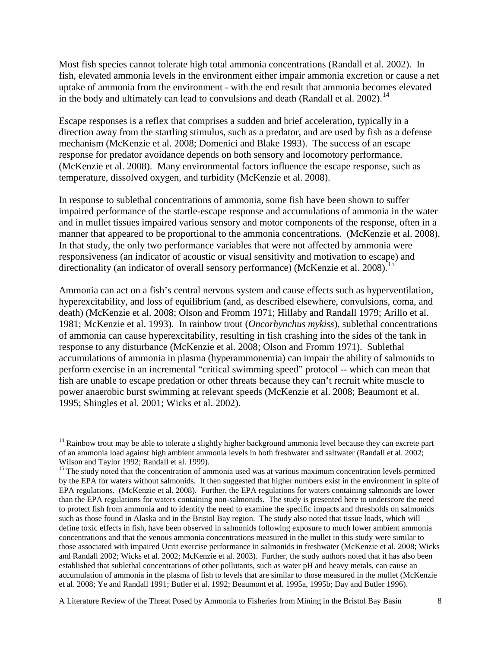Most fish species cannot tolerate high total ammonia concentrations (Randall et al. 2002). In fish, elevated ammonia levels in the environment either impair ammonia excretion or cause a net uptake of ammonia from the environment - with the end result that ammonia becomes elevated in the body and ultimately can lead to convulsions and death (Randall et al.  $2002$ ).<sup>[14](#page-8-0)</sup>

Escape responses is a reflex that comprises a sudden and brief acceleration, typically in a direction away from the startling stimulus, such as a predator, and are used by fish as a defense mechanism (McKenzie et al. 2008; Domenici and Blake 1993). The success of an escape response for predator avoidance depends on both sensory and locomotory performance. (McKenzie et al. 2008). Many environmental factors influence the escape response, such as temperature, dissolved oxygen, and turbidity (McKenzie et al. 2008).

In response to sublethal concentrations of ammonia, some fish have been shown to suffer impaired performance of the startle-escape response and accumulations of ammonia in the water and in mullet tissues impaired various sensory and motor components of the response, often in a manner that appeared to be proportional to the ammonia concentrations. (McKenzie et al. 2008). In that study, the only two performance variables that were not affected by ammonia were responsiveness (an indicator of acoustic or visual sensitivity and motivation to escape) and directionality (an indicator of overall sensory performance) (McKenzie et al. 2008).<sup>[15](#page-8-1)</sup>

Ammonia can act on a fish's central nervous system and cause effects such as hyperventilation, hyperexcitability, and loss of equilibrium (and, as described elsewhere, convulsions, coma, and death) (McKenzie et al. 2008; Olson and Fromm 1971; Hillaby and Randall 1979; Arillo et al. 1981; McKenzie et al. 1993). In rainbow trout (*Oncorhynchus mykiss*), sublethal concentrations of ammonia can cause hyperexcitability, resulting in fish crashing into the sides of the tank in response to any disturbance (McKenzie et al. 2008; Olson and Fromm 1971). Sublethal accumulations of ammonia in plasma (hyperammonemia) can impair the ability of salmonids to perform exercise in an incremental "critical swimming speed" protocol -- which can mean that fish are unable to escape predation or other threats because they can't recruit white muscle to power anaerobic burst swimming at relevant speeds (McKenzie et al. 2008; Beaumont et al. 1995; Shingles et al. 2001; Wicks et al. 2002).

ı

A Literature Review of the Threat Posed by Ammonia to Fisheries from Mining in the Bristol Bay Basin 8

<span id="page-8-0"></span> $14$  Rainbow trout may be able to tolerate a slightly higher background ammonia level because they can excrete part of an ammonia load against high ambient ammonia levels in both freshwater and saltwater (Randall et al. 2002; Wilson and Taylor 1992; Randall et al. 1999).

<span id="page-8-1"></span><sup>&</sup>lt;sup>15</sup> The study noted that the concentration of ammonia used was at various maximum concentration levels permitted by the EPA for waters without salmonids. It then suggested that higher numbers exist in the environment in spite of EPA regulations. (McKenzie et al. 2008). Further, the EPA regulations for waters containing salmonids are lower than the EPA regulations for waters containing non-salmonids. The study is presented here to underscore the need to protect fish from ammonia and to identify the need to examine the specific impacts and thresholds on salmonids such as those found in Alaska and in the Bristol Bay region. The study also noted that tissue loads, which will define toxic effects in fish, have been observed in salmonids following exposure to much lower ambient ammonia concentrations and that the venous ammonia concentrations measured in the mullet in this study were similar to those associated with impaired Ucrit exercise performance in salmonids in freshwater (McKenzie et al. 2008; Wicks and Randall 2002; Wicks et al. 2002; McKenzie et al. 2003). Further, the study authors noted that it has also been established that sublethal concentrations of other pollutants, such as water pH and heavy metals, can cause an accumulation of ammonia in the plasma of fish to levels that are similar to those measured in the mullet (McKenzie et al. 2008; Ye and Randall 1991; Butler et al. 1992; Beaumont et al. 1995a, 1995b; Day and Butler 1996).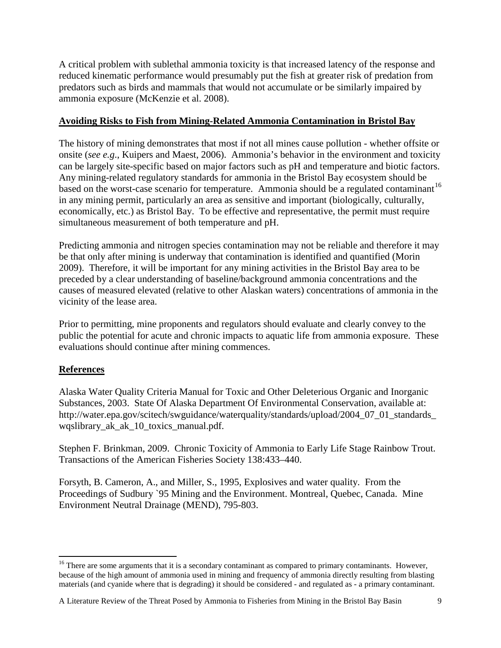A critical problem with sublethal ammonia toxicity is that increased latency of the response and reduced kinematic performance would presumably put the fish at greater risk of predation from predators such as birds and mammals that would not accumulate or be similarly impaired by ammonia exposure (McKenzie et al. 2008).

# **Avoiding Risks to Fish from Mining-Related Ammonia Contamination in Bristol Bay**

The history of mining demonstrates that most if not all mines cause pollution - whether offsite or onsite (*see e.g*., Kuipers and Maest, 2006). Ammonia's behavior in the environment and toxicity can be largely site-specific based on major factors such as pH and temperature and biotic factors. Any mining-related regulatory standards for ammonia in the Bristol Bay ecosystem should be based on the worst-case scenario for temperature. Ammonia should be a regulated contaminant<sup>[16](#page-9-0)</sup> in any mining permit, particularly an area as sensitive and important (biologically, culturally, economically, etc.) as Bristol Bay. To be effective and representative, the permit must require simultaneous measurement of both temperature and pH.

Predicting ammonia and nitrogen species contamination may not be reliable and therefore it may be that only after mining is underway that contamination is identified and quantified (Morin 2009). Therefore, it will be important for any mining activities in the Bristol Bay area to be preceded by a clear understanding of baseline/background ammonia concentrations and the causes of measured elevated (relative to other Alaskan waters) concentrations of ammonia in the vicinity of the lease area.

Prior to permitting, mine proponents and regulators should evaluate and clearly convey to the public the potential for acute and chronic impacts to aquatic life from ammonia exposure. These evaluations should continue after mining commences.

# **References**

 $\overline{\phantom{0}}$ 

Alaska Water Quality Criteria Manual for Toxic and Other Deleterious Organic and Inorganic Substances, 2003. State Of Alaska Department Of Environmental Conservation, available at: http://water.epa.gov/scitech/swguidance/waterquality/standards/upload/2004\_07\_01\_standards wqslibrary\_ak\_ak\_10\_toxics\_manual.pdf.

Stephen F. Brinkman, 2009. Chronic Toxicity of Ammonia to Early Life Stage Rainbow Trout. Transactions of the American Fisheries Society 138:433–440.

Forsyth, B. Cameron, A., and Miller, S., 1995, Explosives and water quality. From the Proceedings of Sudbury `95 Mining and the Environment. Montreal, Quebec, Canada. Mine Environment Neutral Drainage (MEND), 795-803.

<span id="page-9-0"></span> $16$  There are some arguments that it is a secondary contaminant as compared to primary contaminants. However, because of the high amount of ammonia used in mining and frequency of ammonia directly resulting from blasting materials (and cyanide where that is degrading) it should be considered - and regulated as - a primary contaminant.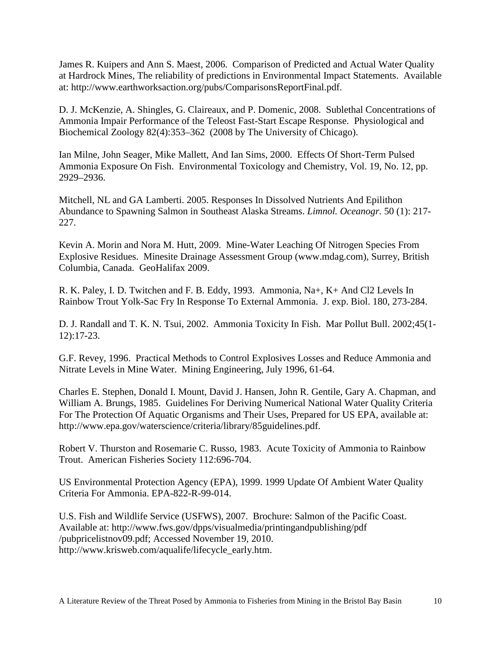James R. Kuipers and Ann S. Maest, 2006. Comparison of Predicted and Actual Water Quality at Hardrock Mines, The reliability of predictions in Environmental Impact Statements. Available at: http://www.earthworksaction.org/pubs/ComparisonsReportFinal.pdf.

D. J. McKenzie, A. Shingles, G. Claireaux, and P. Domenic, 2008. Sublethal Concentrations of Ammonia Impair Performance of the Teleost Fast-Start Escape Response. Physiological and Biochemical Zoology 82(4):353–362 (2008 by The University of Chicago).

Ian Milne, John Seager, Mike Mallett, And Ian Sims, 2000. Effects Of Short-Term Pulsed Ammonia Exposure On Fish. Environmental Toxicology and Chemistry, Vol. 19, No. 12, pp. 2929–2936.

Mitchell, NL and GA Lamberti. 2005. Responses In Dissolved Nutrients And Epilithon Abundance to Spawning Salmon in Southeast Alaska Streams. *Limnol. Oceanogr.* 50 (1): 217- 227.

Kevin A. Morin and Nora M. Hutt, 2009. Mine-Water Leaching Of Nitrogen Species From Explosive Residues. Minesite Drainage Assessment Group (www.mdag.com), Surrey, British Columbia, Canada. GeoHalifax 2009.

R. K. Paley, I. D. Twitchen and F. B. Eddy, 1993. Ammonia, Na+, K+ And Cl2 Levels In Rainbow Trout Yolk-Sac Fry In Response To External Ammonia. J. exp. Biol. 180, 273-284.

D. J. Randall and T. K. N. Tsui, 2002. Ammonia Toxicity In Fish. Mar Pollut Bull. 2002;45(1- 12):17-23.

G.F. Revey, 1996. Practical Methods to Control Explosives Losses and Reduce Ammonia and Nitrate Levels in Mine Water. Mining Engineering, July 1996, 61-64.

Charles E. Stephen, Donald I. Mount, David J. Hansen, John R. Gentile, Gary A. Chapman, and William A. Brungs, 1985. Guidelines For Deriving Numerical National Water Quality Criteria For The Protection Of Aquatic Organisms and Their Uses, Prepared for US EPA, available at: http://www.epa.gov/waterscience/criteria/library/85guidelines.pdf.

Robert V. Thurston and Rosemarie C. Russo, 1983. Acute Toxicity of Ammonia to Rainbow Trout. American Fisheries Society 112:696-704.

US Environmental Protection Agency (EPA), 1999. 1999 Update Of Ambient Water Quality Criteria For Ammonia. EPA-822-R-99-014.

U.S. Fish and Wildlife Service (USFWS), 2007. Brochure: Salmon of the Pacific Coast. Available at: http://www.fws.gov/dpps/visualmedia/printingandpublishing/pdf /pubpricelistnov09.pdf; Accessed November 19, 2010. http://www.krisweb.com/aqualife/lifecycle\_early.htm.